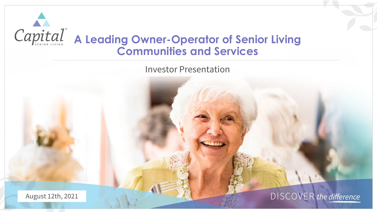

Investor Presentation

August 12th, 2021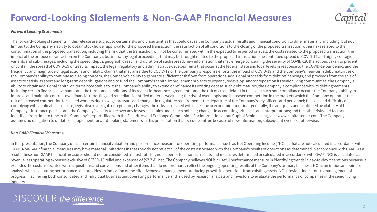

### *Forward Looking Statements:*

The forward-looking statements in this release are subject to certain risks and uncertainties that could cause the Company's actual results and financial condition to differ materially, including, but not limited to, the Company's ability to obtain stockholder approval for the proposed transaction; the satisfaction of all conditions to the closing of the proposed transaction; other risks related to the consummation of the proposed transaction, including the risk that the transaction will not be consummated within the expected time period or at all; the costs related to the proposed transaction; the impact of the proposed transaction on the Company's business; any legal proceedings that may be brought related to the proposed transaction; the continued spread of COVID-19 and highly contagious variants and sub-lineages, including the speed, depth, geographic reach and duration of such spread, new information that may emerge concerning the severity of COVID-19, the actions taken to prevent or contain the spread of COVID-19 or treat its impact, the legal, regulatory and administrative developments that occur at the federal, state and local levels in response to the COVID-19 pandemic, and the frequency and magnitude of legal actions and liability claims that may arise due to COVID-19 or the Company's response efforts; the impact of COVID-19 and the Company's near-term debt maturities on the Company's ability to continue as a going concern, the Company's ability to generate sufficient cash flows from operations, additional proceeds from debt refinancings, and proceeds from the sale of assets to satisfy its short and long-term debt obligations and to fund the Company's capital improvement projects to expand, redevelop, and/or reposition its senior living communities; the Company's ability to obtain additional capital on terms acceptable to it; the Company's ability to extend or refinance its existing debt as such debt matures; the Company's compliance with its debt agreements, including certain financial covenants, and the terms and conditions of its recent forbearance agreements. and the risk of cross-default in the event such non-compliance occurs; the Company's ability to improve and maintain controls over financial reporting and remediate identified material weakness; the risk of oversupply and increased competition in the markets which the Company operates; the risk of increased competition for skilled workers due to wage pressure and changes in regulatory requirements; the departure of the Company's key officers and personnel; the cost and difficulty of complying with applicable licensure, legislative oversight, or regulatory changes; the risks associated with a decline in economic conditions generally; the adequacy and continued availability of the Company's insurance policies and the Company's ability to recover any losses it sustains under such policies; changes in accounting principles and interpretations; and the other risks and factors identified from time to time in the Company's reports filed with the Securities and Exchange Commission. For information about Capital Senior Living, visit [www.capitalsenior.com.](http://www.capitalsenior.com/) The Company assumes no obligation to update or supplement forward-looking statements in this presentation that become untrue because of new information, subsequent events or otherwise.

#### *Non-GAAP Financial Measures:*

In this presentation, the Company utilizes certain financial valuation and performance measures of operating performance, such as Net Operating Income (''NOI"), that are not calculated in accordance with GAAP. Non-GAAP financial measures may have material limitations in that they do not reflect all of the costs associated with the Company's results of operations as determined in accordance with GAAP. As a result, these non-GAAP financial measures should not be considered a substitute for, nor superior to, financial results and measures determined or calculated in accordance with GAAP. NOI is calculated as revenue less operating expenses exclusive of COVID-19 relief and expenses of (\$7.7M), net. The Company believes NOI is a useful performance measure in identifying trends in day-to-day operations because it excludes the costs associated with acquisitions and conversions and other items that do not ordinarily reflect the ongoing operating results of the Company's primary business. NOI is an important points of analysis when evaluating performance as it provides an indication of the effectiveness of management producing growth in operations from existing assets. NOI provides indicators to management of progress in achieving both consolidated and individual business unit operating performance and is used by research analysts and investors to evaluate the performance of companies in the senior living industry.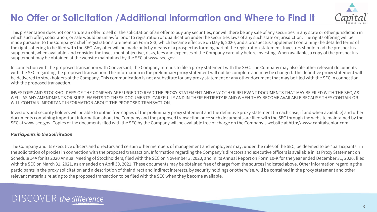# **No Offer or Solicitation /Additional Information and Where to Find It**



This presentation does not constitute an offer to sell or the solicitation of an offer to buy any securities, nor will there be any sale of any securities in any state or other jurisdiction in which such offer, solicitation, or sale would be unlawful prior to registration or qualification under the securities laws of any such state or jurisdiction. The rights offering will be made pursuant to the Company's shelf registration statement on Form S-3, which became effective on May 6, 2020, and a prospectus supplement containing the detailed terms of the rights offering to be filed with the SEC. Any offer will be made only by means of a prospectus forming part of the registration statement. Investors should read the prospectus supplement, when available, and consider the investment objective, risks, fees and expenses of the Company carefully before investing. When available, a copy of the prospectus supplement may be obtained at the website maintained by the SEC at [www.sec.gov.](https://nam11.safelinks.protection.outlook.com/?url=http%3A%2F%2Fwww.sec.gov%2F&data=04%7C01%7Cmmccormick%40capitalsenior.com%7Cf7ce636f23cf477209b308d95d949f59%7Ccb9674af9ba94b92bd6fc48d96595cef%7C0%7C0%7C637643715203027608%7CUnknown%7CTWFpbGZsb3d8eyJWIjoiMC4wLjAwMDAiLCJQIjoiV2luMzIiLCJBTiI6Ik1haWwiLCJXVCI6Mn0%3D%7C1000&sdata=oe6svmp68JOFdKdnVeAJs2CFLOuxLUiRbr3yxF039PQ%3D&reserved=0)

In connection with the proposed transaction with Conversant, the Company intends to file a proxy statement with the SEC. The Company may also file other relevant documents with the SEC regarding the proposed transaction. The information in the preliminary proxy statement will not be complete and may be changed. The definitive proxy statement will be delivered to stockholders of the Company. This communication is not a substitute for any proxy statement or any other document that may be filed with the SEC in connection with the proposed transaction.

INVESTORS AND STOCKHOLDERS OF THE COMPANY ARE URGED TO READ THE PROXY STATEMENT AND ANY OTHER RELEVANT DOCUMENTS THAT MAY BE FILED WITH THE SEC, AS WELL AS ANY AMENDMENTS OR SUPPLEMENTS TO THESE DOCUMENTS, CAREFULLY AND IN THEIR ENTIRETY IF AND WHEN THEY BECOME AVAILABLE BECAUSE THEY CONTAIN OR WILL CONTAIN IMPORTANT INFORMATION ABOUT THE PROPOSED TRANSACTION.

Investors and security holders will be able to obtain free copies of the preliminary proxy statement and the definitive proxy statement (in each case, if and when available) and other documents containing important information about the Company and the proposed transaction once such documents are filed with the SEC through the website maintained by the SEC at [www.sec.gov](https://nam11.safelinks.protection.outlook.com/?url=http%3A%2F%2Fwww.sec.gov%2F&data=04%7C01%7Cmmccormick%40capitalsenior.com%7Cf7ce636f23cf477209b308d95d949f59%7Ccb9674af9ba94b92bd6fc48d96595cef%7C0%7C0%7C637643715203037564%7CUnknown%7CTWFpbGZsb3d8eyJWIjoiMC4wLjAwMDAiLCJQIjoiV2luMzIiLCJBTiI6Ik1haWwiLCJXVCI6Mn0%3D%7C1000&sdata=7REr7J1d%2Bhp1nBkbAvJIY02R63e1exSfSPSOzSHNifU%3D&reserved=0). Copies of the documents filed with the SEC by the Company will be available free of charge on the Company's website at [http://www.capitalsenior.com](https://nam11.safelinks.protection.outlook.com/?url=http%3A%2F%2Fwww.capitalsenior.com%2F&data=04%7C01%7Cmmccormick%40capitalsenior.com%7Cf7ce636f23cf477209b308d95d949f59%7Ccb9674af9ba94b92bd6fc48d96595cef%7C0%7C0%7C637643715203037564%7CUnknown%7CTWFpbGZsb3d8eyJWIjoiMC4wLjAwMDAiLCJQIjoiV2luMzIiLCJBTiI6Ik1haWwiLCJXVCI6Mn0%3D%7C1000&sdata=L9ILfDtmt6EtbMqcFREDGTi%2BbIHlyd31Mb%2Bnr6ArnIc%3D&reserved=0).

### *Participants in the Solicitation*

The Company and its executive officers and directors and certain other members of management and employees may, under the rules of the SEC, be deemed to be "participants" in the solicitation of proxies in connection with the proposed transaction. Information regarding the Company's directors and executive officers is available in its Proxy Statement on Schedule 14A for its 2020 Annual Meeting of Stockholders, filed with the SEC on November 3, 2020, and in its Annual Report on Form 10-K for the year ended December 31, 2020, filed with the SEC on March 31, 2021, as amended on April 30, 2021. These documents may be obtained free of charge from the sources indicated above. Other information regarding the participants in the proxy solicitation and a description of their direct and indirect interests, by security holdings or otherwise, will be contained in the proxy statement and other relevant materials relating to the proposed transaction to be filed with the SEC when they become available.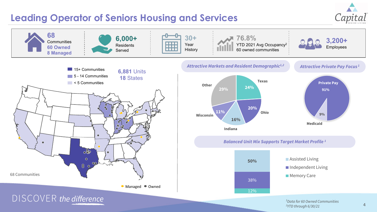## **Leading Operator of Seniors Housing and Services**





*1 Data for 60 Owned Communities 2YTD through 6/30/21*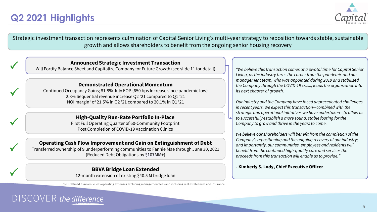# **Q2 2021 Highlights**



Strategic investment transaction represents culmination of Capital Senior Living's multi-year strategy to reposition towards stable, sustainable growth and allows shareholders to benefit from the ongoing senior housing recovery

### **Announced Strategic Investment Transaction**

Will Fortify Balance Sheet and Capitalize Company for Future Growth (see slide 11 for detail)

### **Demonstrated Operational Momentum**

Continued Occupancy Gains; 81.8% July EOP (650 bps Increase since pandemic low) 2.8% Sequential revenue increase Q2 '21 compared to Q1 '21 NOI margin1 of 21.5% in Q2 '21 compared to 20.1% in Q1 '21

## **High-Quality Run-Rate Portfolio In-Place**

First Full Operating Quarter of 60-Community Footprint Post Completion of COVID-19 Vaccination Clinics

## **Operating Cash Flow Improvement and Gain on Extinguishment of Debt**

Transferred ownership of 9 underperforming communities to Fannie Mae through June 30, 2021 (Reduced Debt Obligations by \$107MM+)

**12-month extension of existing \$40.5 M bridge loan Conserversion of existing \$40.5 M bridge loan Conserversion of existing \$40.5 M bridge loan** 

<sup>1</sup> NOI defined as revenue less operating expenses excluding management fees and including real estate taxes and insurance

*"We believe this transaction comes at a pivotal time for Capital Senior Living, as the industry turns the corner from the pandemic and our management team, who was appointed during 2019 and stabilized the Company through the COVID-19 crisis, leads the organization into its next chapter of growth.*

*Our industry and the Company have faced unprecedented challenges in recent years. We expect this transaction—combined with the strategic and operational initiatives we have undertaken—to allow us to successfully establish a more sound, stable footing for the Company to grow and thrive in the years to come.*

*We believe our shareholders will benefit from the completion of the Company's repositioning and the ongoing recovery of our industry; and importantly, our communities, employees and residents will benefit from the continued high-quality care and services the proceeds from this transaction will enable us to provide."*

# DISCOVER the difference

 $\checkmark$ 

 $\checkmark$ 

 $\checkmark$ 

 $\checkmark$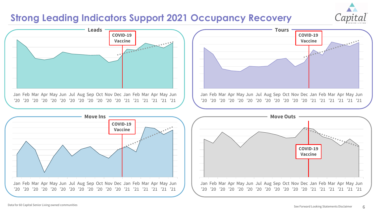## **Strong Leading Indicators Support 2021 Occupancy Recovery**



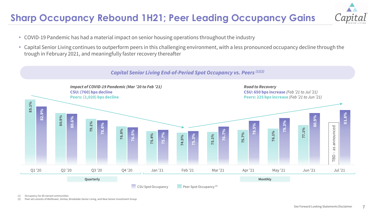# **Sharp Occupancy Rebound 1H21; Peer Leading Occupancy Gains**



- COVID-19 Pandemic has had a material impact on senior housing operations throughout the industry
- Capital Senior Living continues to outperform peers in this challenging environment, with a less pronounced occupancy decline through the trough in February 2021, and meaningfully faster recovery thereafter



(1) Occupancy for 60 owned communities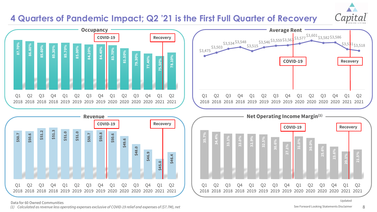## **4 Quarters of Pandemic Impact; Q2 '21 is the First Full Quarter of Recovery**



Q1

Q2

Q3

Q4

Q1

Q2





Data for 60 Owned Communities

*(1) Calculated as revenue less operating expenses exclusive of COVID-19 relief and expenses of (\$7.7M), net*

 $Q1$ 

**20.1%**

**21.5%**

Q2

2018 2018 2018 2018 2019 2019 2019 2019 2020 2020 2020 2020 2021 2021

Q4

Q1

Q2

Q3

Q3

**23.6%**

Q4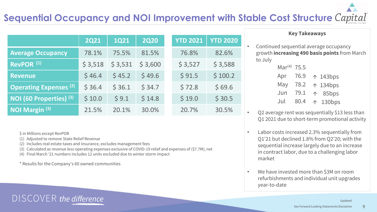# **Sequential Occupancy and NOI Improvement with Stable Cost Structure**

| UNITAI<br>SENIOR LIVING |  |
|-------------------------|--|

|                                    | <b>2Q21</b> | <b>1Q21</b> | <b>2Q20</b> | <b>YTD 2021</b> | <b>YTD 2020</b> |
|------------------------------------|-------------|-------------|-------------|-----------------|-----------------|
| <b>Average Occupancy</b>           | 78.1%       | 75.5%       | 81.5%       | 76.8%           | 82.6%           |
| RevPOR <sup>(1)</sup>              | \$3,518     | \$3,531     | \$3,600     | \$3,527         | \$3,588         |
| <b>Revenue</b>                     | \$46.4      | \$45.2      | \$49.6      | \$91.5          | \$100.2         |
| <b>Operating Expenses (2)</b>      | \$36.4      | \$36.1      | \$34.7      | \$72.8          | \$69.6          |
| NOI (60 Properties) <sup>(3)</sup> | \$10.0      | \$9.1       | \$14.8      | \$19.0          | \$30.5          |
| NOI Margin <sup>(3)</sup>          | 21.5%       | 20.1%       | 30.0%       | 20.7%           | 30.5%           |

\$ in Millions except RevPOR

(1) Adjusted to remove State Relief Revenue

DISCOVER the difference

- (2) Includes real estate taxes and insurance, excludes management fees
- (3) Calculated as revenue less operating expenses exclusive of COVID-19 relief and expenses of (\$7.7M), net
- (4) Final March '21 numbers includes 12 units excluded due to winter storm impact

\* Results for the Company's 60 owned communities

## **Key Takeaways**

• Continued sequential average occupancy growth **increasing 490 basis points** from March to July

| שט  | 5.521  | <b>P 3,300</b> | Mar <sup>(4)</sup> 75.5             |
|-----|--------|----------------|-------------------------------------|
| 9.6 | \$91.5 | \$100.2        | Apr 76.9 $\uparrow$ 143bps          |
| 1.7 | \$72.8 | \$69.6         | May 78.2 $\uparrow$ 134bps          |
| 4.8 | \$19.0 | \$30.5         | Jun 79.1 1 85bps<br>Jul 80.4 130bps |
|     |        |                |                                     |

- Q2 average rent was sequentially \$13 less than Q1 2021 due to short-term promotional activity
- Labor costs increased 2.3% sequentially from Q1'21 but declined 1.8% from Q2'20; with the sequential increase largely due to an increase in contract labor, due to a challenging labor market
- We have invested more than \$3M on room refurbishments and individual unit upgrades year-to-date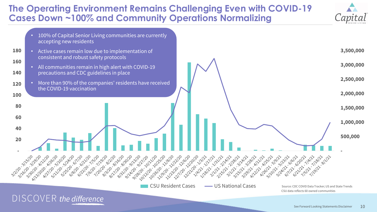## **The Operating Environment Remains Challenging Even with COVID-19 Cases Down ~100% and Community Operations Normalizing**



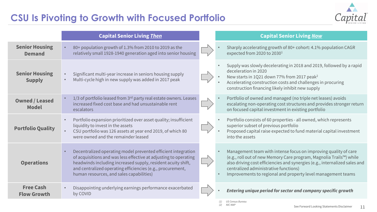# **CSU Is Pivoting to Growth with Focused Portfolio**

![](_page_10_Picture_1.jpeg)

|                                        | <b>Capital Senior Living Then</b>                                                                                                                                                                                                                                                                           | <b>Capital Senior Living Now</b>                                                                                                                                                                                                                                                                                                           |
|----------------------------------------|-------------------------------------------------------------------------------------------------------------------------------------------------------------------------------------------------------------------------------------------------------------------------------------------------------------|--------------------------------------------------------------------------------------------------------------------------------------------------------------------------------------------------------------------------------------------------------------------------------------------------------------------------------------------|
| <b>Senior Housing</b><br><b>Demand</b> | 80+ population growth of 1.3% from 2010 to 2019 as the<br>relatively small 1928-1940 generation aged into senior housing                                                                                                                                                                                    | Sharply accelerating growth of 80+ cohort: 4.1% population CAGR<br>expected from 2020 to 2030 <sup>1</sup>                                                                                                                                                                                                                                 |
| <b>Senior Housing</b><br><b>Supply</b> | Significant multi-year increase in seniors housing supply<br>Multi-cycle high in new supply was added in 2017 peak                                                                                                                                                                                          | Supply was slowly decelerating in 2018 and 2019, followed by a rapid<br>deceleration in 2020<br>New starts in 1Q21 down 77% from 2017 peak <sup>2</sup><br>Accelerating construction costs and challenges in procuring<br>construction financing likely inhibit new supply                                                                 |
| <b>Owned / Leased</b><br><b>Model</b>  | 1/3 of portfolio leased from 3rd party real estate owners. Leases<br>increased fixed cost base and had unsustainable rent<br>escalators                                                                                                                                                                     | Portfolio of owned and managed (no triple net leases) avoids<br>escalating non-operating cost structures and provides stronger return<br>on focused capital investment in existing portfolio                                                                                                                                               |
| <b>Portfolio Quality</b>               | Portfolio expansion prioritized over asset quality; insufficient<br>liquidity to invest in the assets<br>CSU portfolio was 126 assets at year end 2019, of which 80<br>were owned and the remainder leased                                                                                                  | Portfolio consists of 60 properties - all owned, which represents<br>superior subset of previous portfolio<br>Proposed capital raise expected to fund material capital investment<br>into the assets                                                                                                                                       |
| <b>Operations</b>                      | Decentralized operating model prevented efficient integration<br>of acquisitions and was less effective at adjusting to operating<br>headwinds including increased supply, resident acuity shift,<br>and centralized operating efficiencies (e.g., procurement,<br>human resources, and sales capabilities) | Management team with intense focus on improving quality of care<br>$\bullet$<br>(e.g., roll out of new Memory Care program, Magnolia Trails™) while<br>also driving cost efficiencies and synergies (e.g., internalized sales and<br>centralized administrative functions)<br>Improvements to regional and property level management teams |
| <b>Free Cash</b><br><b>Flow Growth</b> | Disappointing underlying earnings performance exacerbated<br>by COVID                                                                                                                                                                                                                                       | Entering unique period for sector and company specific growth                                                                                                                                                                                                                                                                              |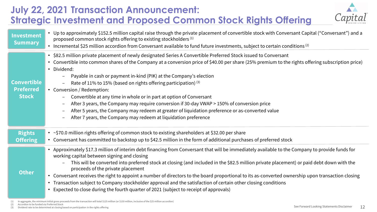# **July 22, 2021 Transaction Announcement: Strategic Investment and Proposed Common Stock Rights Offering**

![](_page_11_Picture_1.jpeg)

| <b>Investment</b><br><b>Summary</b>                    | • Up to approximately \$152.5 million capital raise through the private placement of convertible stock with Conversant Capital ("Conversant") and a<br>proposed common stock rights offering to existing stockholders <sup>(1)</sup><br>• Incremental \$25 million accordion from Conversant available to fund future investments, subject to certain conditions <sup>(2)</sup>                                                                                                                                                                                                                                                                                                                                                                                                                             |
|--------------------------------------------------------|-------------------------------------------------------------------------------------------------------------------------------------------------------------------------------------------------------------------------------------------------------------------------------------------------------------------------------------------------------------------------------------------------------------------------------------------------------------------------------------------------------------------------------------------------------------------------------------------------------------------------------------------------------------------------------------------------------------------------------------------------------------------------------------------------------------|
| <b>Convertible</b><br><b>Preferred</b><br><b>Stock</b> | • \$82.5 million private placement of newly designated Series A Convertible Preferred Stock issued to Conversant<br>• Convertible into common shares of the Company at a conversion price of \$40.00 per share (25% premium to the rights offering subscription price)<br>• Dividend:<br>Payable in cash or payment in-kind (PIK) at the Company's election<br>Rate of 11% to 15% (based on rights offering participation) $(3)$<br>• Conversion / Redemption:<br>Convertible at any time in whole or in part at option of Conversant<br>After 3 years, the Company may require conversion if 30-day VWAP > 150% of conversion price<br>After 5 years, the Company may redeem at greater of liquidation preference or as-converted value<br>After 7 years, the Company may redeem at liquidation preference |
| <b>Rights</b><br><b>Offering</b>                       | • ~\$70.0 million rights offering of common stock to existing shareholders at \$32.00 per share<br>• Conversant has committed to backstop up to \$42.5 million in the form of additional purchases of preferred stock                                                                                                                                                                                                                                                                                                                                                                                                                                                                                                                                                                                       |
| <b>Other</b>                                           | • Approximately \$17.3 million of interim debt financing from Conversant that will be immediately available to the Company to provide funds for<br>working capital between signing and closing<br>This will be converted into preferred stock at closing (and included in the \$82.5 million private placement) or paid debt down with the<br>proceeds of the private placement<br>• Conversant receives the right to appoint a number of directors to the board proportional to its as-converted ownership upon transaction closing<br>• Transaction subject to Company stockholder approval and the satisfaction of certain other closing conditions<br>• Expected to close during the fourth quarter of 2021 (subject to receipt of approvals)                                                           |

- (2) Accordion to be funded via Preferred Stock
- (3) Dividend rate to be determined at closing based on participation in the rights offering

<sup>(1)</sup> In aggregate, the minimum initial gross proceeds from the transaction will total \$125 million (or \$150 million, inclusive of the \$25 million accordion)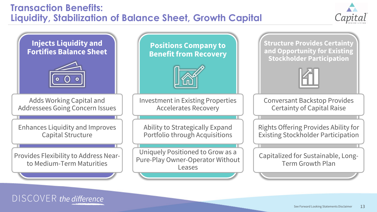# **Transaction Benefits: Liquidity, Stabilization of Balance Sheet, Growth Capital**

DISCOVER the difference

![](_page_12_Picture_1.jpeg)

![](_page_12_Figure_2.jpeg)

#### 13 See Forward Looking Statements Disclaimer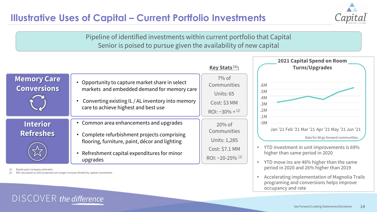# **Illustrative Uses of Capital – Current Portfolio Investments**

![](_page_13_Picture_1.jpeg)

Pipeline of identified investments within current portfolio that Capital Senior is poised to pursue given the availability of new capital

![](_page_13_Figure_3.jpeg)

Based upon company estimates

ROI calculated as 2023 projected net margin increase divided by capital investments

DISCOVER the difference

#### 14 See Forward Looking Statements Disclaimer

• Accelerating implementation of Magnolia Trails programing and conversions helps improve

occupancy and rate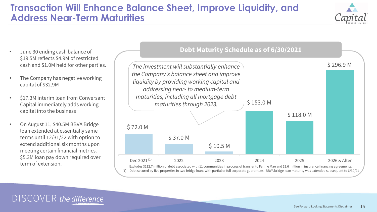## **Transaction Will Enhance Balance Sheet, Improve Liquidity, and Address Near-Term Maturities**

![](_page_14_Picture_1.jpeg)

- June 30 ending cash balance of \$19.5M reflects \$4.9M of restricted cash and \$1.0M held for other parties.
- The Company has negative working capital of \$32.9M
- \$17.3M interim loan from Conversant Capital immediately adds working capital into the business
- On August 11, \$40.5M BBVA Bridge loan extended at essentially same terms until 12/31/22 with option to extend additional six months upon meeting certain financial metrics. \$5.3M loan pay down required over

![](_page_14_Figure_6.jpeg)